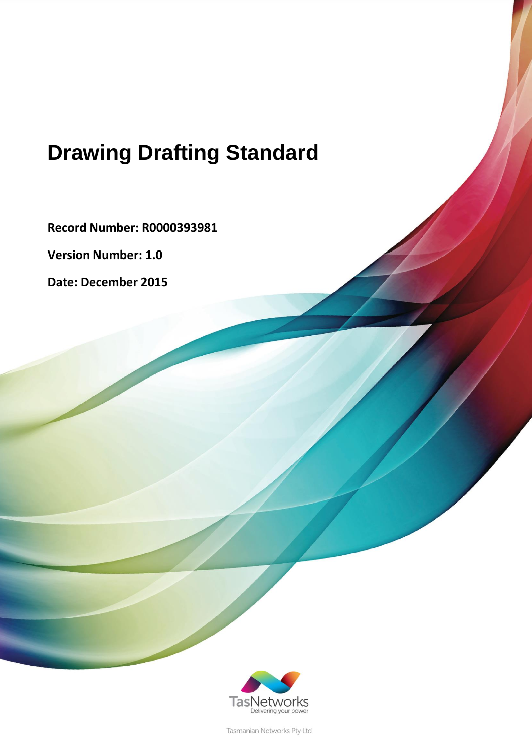# **Drawing Drafting Standard**

**Record Number: R0000393981**

**Version Number: 1.0**

**Date: December 2015**



Tasmanian Networks Pty Ltd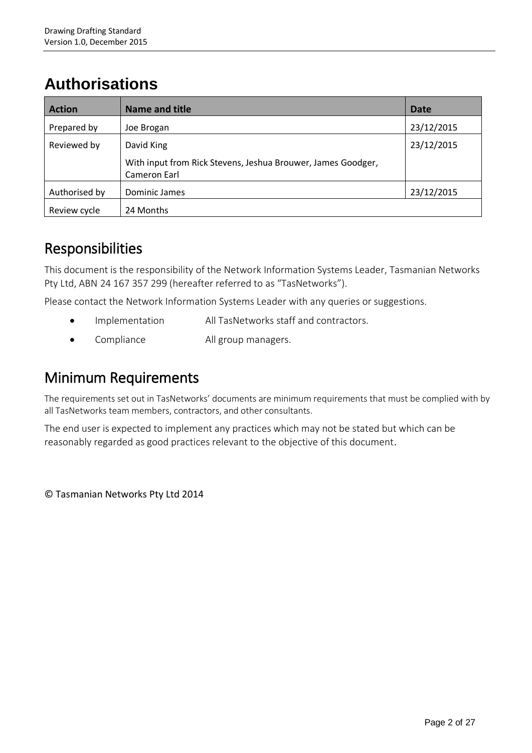## **Authorisations**

| <b>Action</b> | <b>Name and title</b>                                                        | Date       |
|---------------|------------------------------------------------------------------------------|------------|
| Prepared by   | Joe Brogan                                                                   | 23/12/2015 |
| Reviewed by   | David King                                                                   | 23/12/2015 |
|               | With input from Rick Stevens, Jeshua Brouwer, James Goodger,<br>Cameron Earl |            |
| Authorised by | Dominic James                                                                | 23/12/2015 |
| Review cycle  | 24 Months                                                                    |            |

### Responsibilities

This document is the responsibility of the Network Information Systems Leader, Tasmanian Networks Pty Ltd, ABN 24 167 357 299 (hereafter referred to as "TasNetworks").

Please contact the Network Information Systems Leader with any queries or suggestions.

- Implementation All TasNetworks staff and contractors.
- Compliance All group managers.

### Minimum Requirements

The requirements set out in TasNetworks' documents are minimum requirements that must be complied with by all TasNetworks team members, contractors, and other consultants.

The end user is expected to implement any practices which may not be stated but which can be reasonably regarded as good practices relevant to the objective of this document.

© Tasmanian Networks Pty Ltd 2014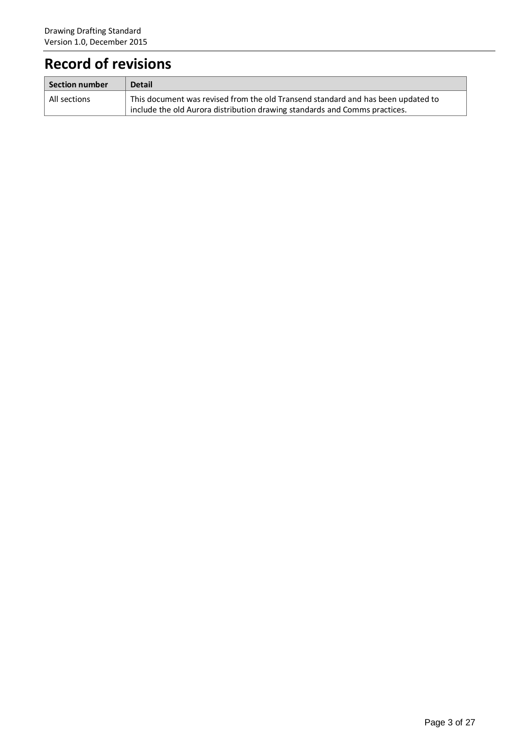## **Record of revisions**

| $\mid$ Section number | <b>Detail</b>                                                                    |
|-----------------------|----------------------------------------------------------------------------------|
| All sections          | This document was revised from the old Transend standard and has been updated to |
|                       | include the old Aurora distribution drawing standards and Comms practices.       |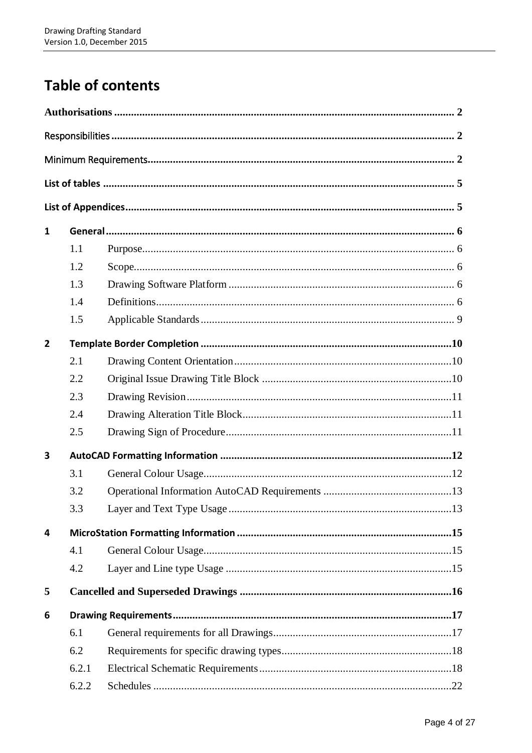## **Table of contents**

| 1              |       |  |
|----------------|-------|--|
|                | 1.1   |  |
|                | 1.2   |  |
|                | 1.3   |  |
|                | 1.4   |  |
|                | 1.5   |  |
| $\overline{2}$ |       |  |
|                | 2.1   |  |
|                | 2.2   |  |
|                | 2.3   |  |
|                | 2.4   |  |
|                | 2.5   |  |
| 3              |       |  |
|                | 3.1   |  |
|                | 3.2   |  |
|                | 3.3   |  |
| 4              |       |  |
|                | 4.1   |  |
|                | 4.2   |  |
| 5              |       |  |
| 6              |       |  |
|                | 6.1   |  |
|                | 6.2   |  |
|                | 6.2.1 |  |
|                | 6.2.2 |  |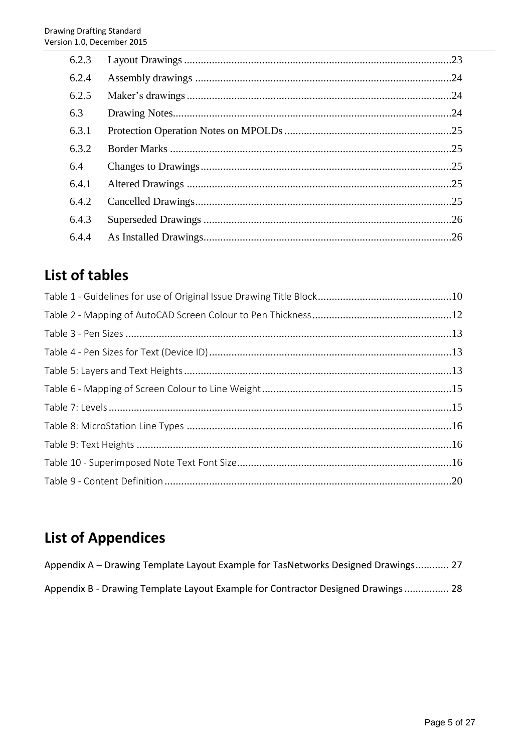| 6.2.3 |     |
|-------|-----|
| 6.2.4 |     |
| 6.2.5 |     |
| 6.3   |     |
| 6.3.1 |     |
| 6.3.2 |     |
| 6.4   |     |
| 6.4.1 |     |
| 6.4.2 |     |
| 6.4.3 |     |
| 6.4.4 | .26 |

## **List of tables**

## **List of Appendices**

| Appendix A – Drawing Template Layout Example for TasNetworks Designed Drawings 27 |  |
|-----------------------------------------------------------------------------------|--|
| Appendix B - Drawing Template Layout Example for Contractor Designed Drawings 28  |  |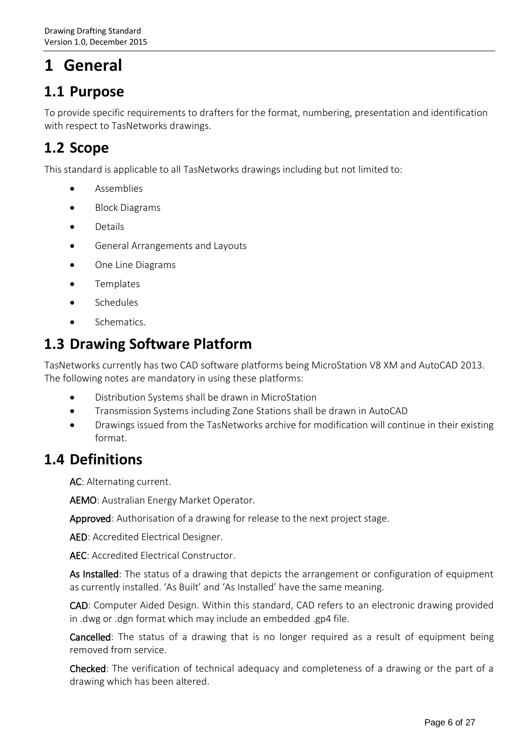## **1 General**

### **1.1 Purpose**

To provide specific requirements to drafters for the format, numbering, presentation and identification with respect to TasNetworks drawings.

### **1.2 Scope**

This standard is applicable to all TasNetworks drawings including but not limited to:

- Assemblies
- Block Diagrams
- Details
- General Arrangements and Layouts
- One Line Diagrams
- **•** Templates
- **•** Schedules
- **Schematics**

### **1.3 Drawing Software Platform**

TasNetworks currently has two CAD software platforms being MicroStation V8 XM and AutoCAD 2013. The following notes are mandatory in using these platforms:

- Distribution Systems shall be drawn in MicroStation
- Transmission Systems including Zone Stations shall be drawn in AutoCAD
- Drawings issued from the TasNetworks archive for modification will continue in their existing format.

### **1.4 Definitions**

AC: Alternating current.

AEMO: Australian Energy Market Operator.

Approved: Authorisation of a drawing for release to the next project stage.

AED: Accredited Electrical Designer.

AEC: Accredited Electrical Constructor.

As Installed: The status of a drawing that depicts the arrangement or configuration of equipment as currently installed. 'As Built' and 'As Installed' have the same meaning.

CAD: Computer Aided Design. Within this standard, CAD refers to an electronic drawing provided in .dwg or .dgn format which may include an embedded .gp4 file.

Cancelled: The status of a drawing that is no longer required as a result of equipment being removed from service.

Checked: The verification of technical adequacy and completeness of a drawing or the part of a drawing which has been altered.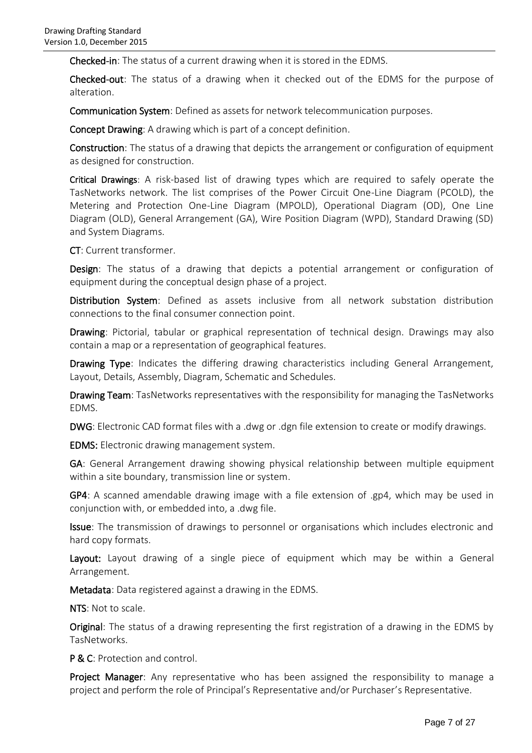Checked-in: The status of a current drawing when it is stored in the EDMS.

Checked-out: The status of a drawing when it checked out of the EDMS for the purpose of alteration.

Communication System: Defined as assets for network telecommunication purposes.

Concept Drawing: A drawing which is part of a concept definition.

Construction: The status of a drawing that depicts the arrangement or configuration of equipment as designed for construction.

 Critical Drawings: A risk-based list of drawing types which are required to safely operate the TasNetworks network. The list comprises of the Power Circuit One-Line Diagram (PCOLD), the Metering and Protection One-Line Diagram (MPOLD), Operational Diagram (OD), One Line Diagram (OLD), General Arrangement (GA), Wire Position Diagram (WPD), Standard Drawing (SD) and System Diagrams.

CT: Current transformer.

Design: The status of a drawing that depicts a potential arrangement or configuration of equipment during the conceptual design phase of a project.

Distribution System: Defined as assets inclusive from all network substation distribution connections to the final consumer connection point.

Drawing: Pictorial, tabular or graphical representation of technical design. Drawings may also contain a map or a representation of geographical features.

Drawing Type: Indicates the differing drawing characteristics including General Arrangement, Layout, Details, Assembly, Diagram, Schematic and Schedules.

Drawing Team: TasNetworks representatives with the responsibility for managing the TasNetworks EDMS.

DWG: Electronic CAD format files with a .dwg or .dgn file extension to create or modify drawings.

EDMS: Electronic drawing management system.

GA: General Arrangement drawing showing physical relationship between multiple equipment within a site boundary, transmission line or system.

GP4: A scanned amendable drawing image with a file extension of .gp4, which may be used in conjunction with, or embedded into, a .dwg file.

Issue: The transmission of drawings to personnel or organisations which includes electronic and hard copy formats.

Layout: Layout drawing of a single piece of equipment which may be within a General Arrangement.

Metadata: Data registered against a drawing in the EDMS.

NTS: Not to scale.

Original: The status of a drawing representing the first registration of a drawing in the EDMS by TasNetworks.

P & C: Protection and control.

Project Manager: Any representative who has been assigned the responsibility to manage a project and perform the role of Principal's Representative and/or Purchaser's Representative.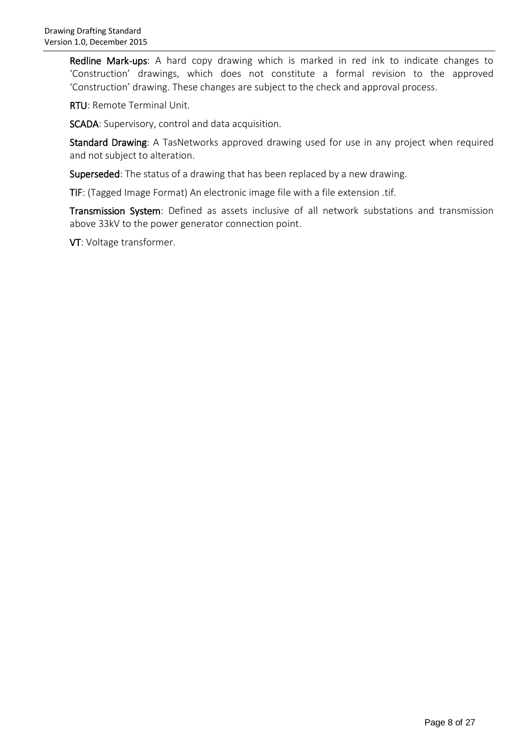Redline Mark-ups: A hard copy drawing which is marked in red ink to indicate changes to 'Construction' drawings, which does not constitute a formal revision to the approved 'Construction' drawing. These changes are subject to the check and approval process.

RTU: Remote Terminal Unit.

SCADA: Supervisory, control and data acquisition.

Standard Drawing: A TasNetworks approved drawing used for use in any project when required and not subject to alteration.

Superseded: The status of a drawing that has been replaced by a new drawing.

TIF: (Tagged Image Format) An electronic image file with a file extension .tif.

Transmission System: Defined as assets inclusive of all network substations and transmission above 33kV to the power generator connection point.

VT: Voltage transformer.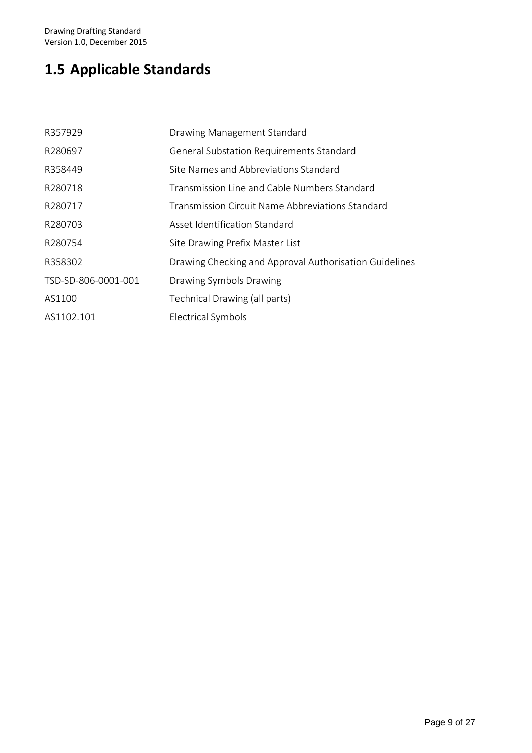## **1.5 Applicable Standards**

| R357929             | Drawing Management Standard                            |
|---------------------|--------------------------------------------------------|
| R280697             | General Substation Requirements Standard               |
| R358449             | Site Names and Abbreviations Standard                  |
| R280718             | Transmission Line and Cable Numbers Standard           |
| R280717             | Transmission Circuit Name Abbreviations Standard       |
| R280703             | Asset Identification Standard                          |
| R280754             | Site Drawing Prefix Master List                        |
| R358302             | Drawing Checking and Approval Authorisation Guidelines |
| TSD-SD-806-0001-001 | Drawing Symbols Drawing                                |
| AS1100              | Technical Drawing (all parts)                          |
| AS1102.101          | <b>Electrical Symbols</b>                              |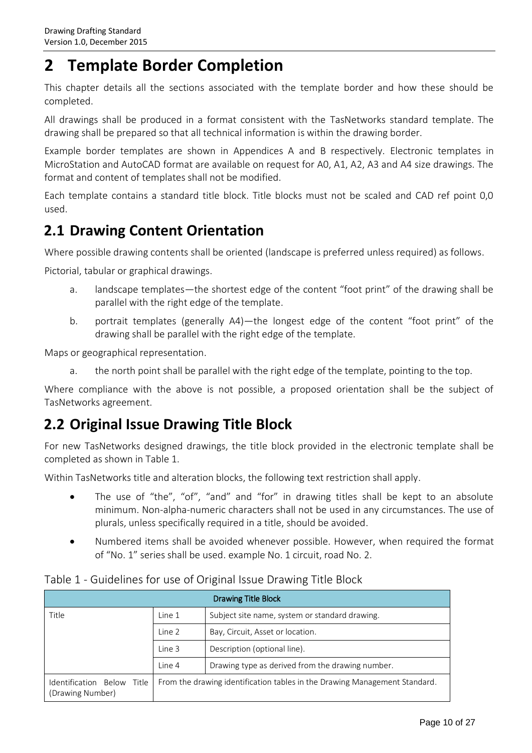## **2 Template Border Completion**

This chapter details all the sections associated with the template border and how these should be completed.

All drawings shall be produced in a format consistent with the TasNetworks standard template. The drawing shall be prepared so that all technical information is within the drawing border.

Example border templates are shown in Appendices A and B respectively. Electronic templates in MicroStation and AutoCAD format are available on request for A0, A1, A2, A3 and A4 size drawings. The format and content of templates shall not be modified.

Each template contains a standard title block. Title blocks must not be scaled and CAD ref point 0,0 used.

### **2.1 Drawing Content Orientation**

Where possible drawing contents shall be oriented (landscape is preferred unless required) as follows.

Pictorial, tabular or graphical drawings.

- a. landscape templates—the shortest edge of the content "foot print" of the drawing shall be parallel with the right edge of the template.
- b. portrait templates (generally A4)—the longest edge of the content "foot print" of the drawing shall be parallel with the right edge of the template.

Maps or geographical representation.

a. the north point shall be parallel with the right edge of the template, pointing to the top.

Where compliance with the above is not possible, a proposed orientation shall be the subject of TasNetworks agreement.

### **2.2 Original Issue Drawing Title Block**

For new TasNetworks designed drawings, the title block provided in the electronic template shall be completed as shown in Table 1.

Within TasNetworks title and alteration blocks, the following text restriction shall apply.

- The use of "the", "of", "and" and "for" in drawing titles shall be kept to an absolute minimum. Non-alpha-numeric characters shall not be used in any circumstances. The use of plurals, unless specifically required in a title, should be avoided.
- Numbered items shall be avoided whenever possible. However, when required the format of "No. 1" series shall be used. example No. 1 circuit, road No. 2.

| <b>Drawing Title Block</b>                        |        |                                                                            |  |
|---------------------------------------------------|--------|----------------------------------------------------------------------------|--|
| Title                                             | Line 1 | Subject site name, system or standard drawing.                             |  |
|                                                   | Line 2 | Bay, Circuit, Asset or location.                                           |  |
|                                                   | Line 3 | Description (optional line).                                               |  |
|                                                   | Line 4 | Drawing type as derived from the drawing number.                           |  |
| Identification Below<br>Title<br>(Drawing Number) |        | From the drawing identification tables in the Drawing Management Standard. |  |

#### Table 1 - Guidelines for use of Original Issue Drawing Title Block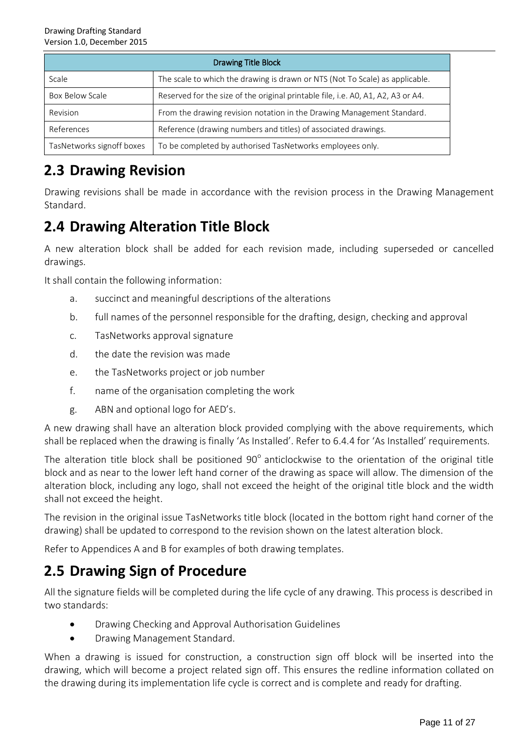| <b>Drawing Title Block</b> |                                                                                  |  |
|----------------------------|----------------------------------------------------------------------------------|--|
| Scale                      | The scale to which the drawing is drawn or NTS (Not To Scale) as applicable.     |  |
| Box Below Scale            | Reserved for the size of the original printable file, i.e. A0, A1, A2, A3 or A4. |  |
| Revision                   | From the drawing revision notation in the Drawing Management Standard.           |  |
| References                 | Reference (drawing numbers and titles) of associated drawings.                   |  |
| TasNetworks signoff boxes  | To be completed by authorised TasNetworks employees only.                        |  |

### **2.3 Drawing Revision**

Drawing revisions shall be made in accordance with the revision process in the Drawing Management Standard.

### **2.4 Drawing Alteration Title Block**

A new alteration block shall be added for each revision made, including superseded or cancelled drawings.

It shall contain the following information:

- a. succinct and meaningful descriptions of the alterations
- b. full names of the personnel responsible for the drafting, design, checking and approval
- c. TasNetworks approval signature
- d. the date the revision was made
- e. the TasNetworks project or job number
- f. name of the organisation completing the work
- g. ABN and optional logo for AED's.

A new drawing shall have an alteration block provided complying with the above requirements, which shall be replaced when the drawing is finally 'As Installed'. Refer to [6.4.4](#page-25-0) for 'As Installed' requirements.

The alteration title block shall be positioned  $90^{\circ}$  anticlockwise to the orientation of the original title block and as near to the lower left hand corner of the drawing as space will allow. The dimension of the alteration block, including any logo, shall not exceed the height of the original title block and the width shall not exceed the height.

The revision in the original issue TasNetworks title block (located in the bottom right hand corner of the drawing) shall be updated to correspond to the revision shown on the latest alteration block.

Refer to Appendices A and B for examples of both drawing templates.

### **2.5 Drawing Sign of Procedure**

All the signature fields will be completed during the life cycle of any drawing. This process is described in two standards:

- Drawing Checking and Approval Authorisation Guidelines
- **•** Drawing Management Standard.

When a drawing is issued for construction, a construction sign off block will be inserted into the drawing, which will become a project related sign off. This ensures the redline information collated on the drawing during its implementation life cycle is correct and is complete and ready for drafting.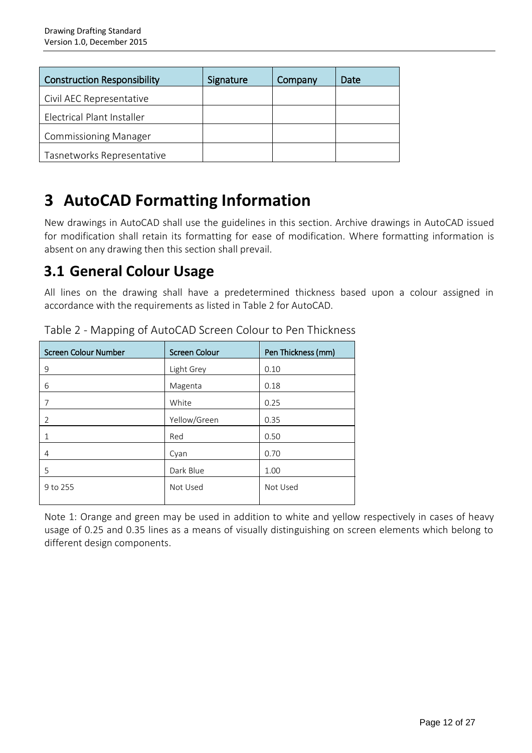| <b>Construction Responsibility</b> | Signature | Company | Date |
|------------------------------------|-----------|---------|------|
| Civil AEC Representative           |           |         |      |
| Electrical Plant Installer         |           |         |      |
| <b>Commissioning Manager</b>       |           |         |      |
| Tasnetworks Representative         |           |         |      |

## **3 AutoCAD Formatting Information**

New drawings in AutoCAD shall use the guidelines in this section. Archive drawings in AutoCAD issued for modification shall retain its formatting for ease of modification. Where formatting information is absent on any drawing then this section shall prevail.

### **3.1 General Colour Usage**

All lines on the drawing shall have a predetermined thickness based upon a colour assigned in accordance with the requirements as listed in Table 2 for AutoCAD.

| <b>Screen Colour Number</b> | <b>Screen Colour</b> | Pen Thickness (mm) |
|-----------------------------|----------------------|--------------------|
| 9                           | Light Grey           | 0.10               |
| 6                           | Magenta              | 0.18               |
| 7                           | White                | 0.25               |
| 2                           | Yellow/Green         | 0.35               |
|                             | Red                  | 0.50               |
| 4                           | Cyan                 | 0.70               |
| 5                           | Dark Blue            | 1.00               |
| 9 to 255                    | Not Used             | Not Used           |

Table 2 - Mapping of AutoCAD Screen Colour to Pen Thickness

Note 1: Orange and green may be used in addition to white and yellow respectively in cases of heavy usage of 0.25 and 0.35 lines as a means of visually distinguishing on screen elements which belong to different design components.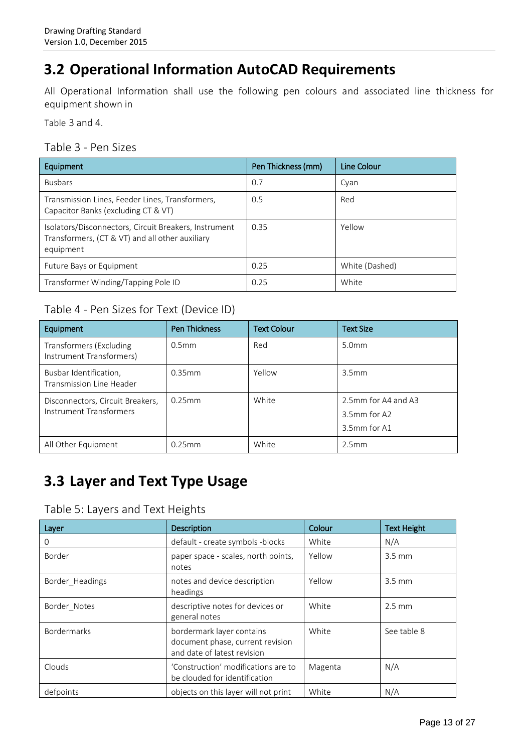## **3.2 Operational Information AutoCAD Requirements**

All Operational Information shall use the following pen colours and associated line thickness for equipment shown in

Table 3 and 4.

#### Table 3 - Pen Sizes

| Equipment                                                                                                             | Pen Thickness (mm) | Line Colour    |
|-----------------------------------------------------------------------------------------------------------------------|--------------------|----------------|
| <b>Busbars</b>                                                                                                        | 0.7                | Cyan           |
| Transmission Lines, Feeder Lines, Transformers,<br>Capacitor Banks (excluding CT & VT)                                | 0.5                | Red            |
| Isolators/Disconnectors, Circuit Breakers, Instrument<br>Transformers, (CT & VT) and all other auxiliary<br>equipment | 0.35               | Yellow         |
| Future Bays or Equipment                                                                                              | 0.25               | White (Dashed) |
| Transformer Winding/Tapping Pole ID                                                                                   | 0.25               | White          |

#### Table 4 - Pen Sizes for Text (Device ID)

| Equipment                                                   | Pen Thickness     | <b>Text Colour</b> | <b>Text Size</b>                                    |
|-------------------------------------------------------------|-------------------|--------------------|-----------------------------------------------------|
| Transformers (Excluding<br>Instrument Transformers)         | 0.5 <sub>mm</sub> | Red                | 5.0 <sub>mm</sub>                                   |
| Busbar Identification,<br>Transmission Line Header          | $0.35$ mm         | Yellow             | 3.5 <sub>mm</sub>                                   |
| Disconnectors, Circuit Breakers,<br>Instrument Transformers | $0.25$ mm         | White              | 2.5mm for A4 and A3<br>3.5mm for A2<br>3.5mm for A1 |
| All Other Equipment                                         | $0.25$ mm         | White              | 2.5mm                                               |

## **3.3 Layer and Text Type Usage**

#### Table 5: Layers and Text Heights

| Layer              | Description                                                                                  | Colour  | <b>Text Height</b> |
|--------------------|----------------------------------------------------------------------------------------------|---------|--------------------|
| O                  | default - create symbols -blocks                                                             | White   | N/A                |
| Border             | paper space - scales, north points,<br>notes                                                 | Yellow  | $3.5 \text{ mm}$   |
| Border Headings    | notes and device description<br>headings                                                     | Yellow  | $3.5 \text{ mm}$   |
| Border Notes       | descriptive notes for devices or<br>general notes                                            | White   | $2.5 \text{ mm}$   |
| <b>Bordermarks</b> | bordermark layer contains<br>document phase, current revision<br>and date of latest revision | White   | See table 8        |
| Clouds             | 'Construction' modifications are to<br>be clouded for identification                         | Magenta | N/A                |
| defpoints          | objects on this layer will not print                                                         | White   | N/A                |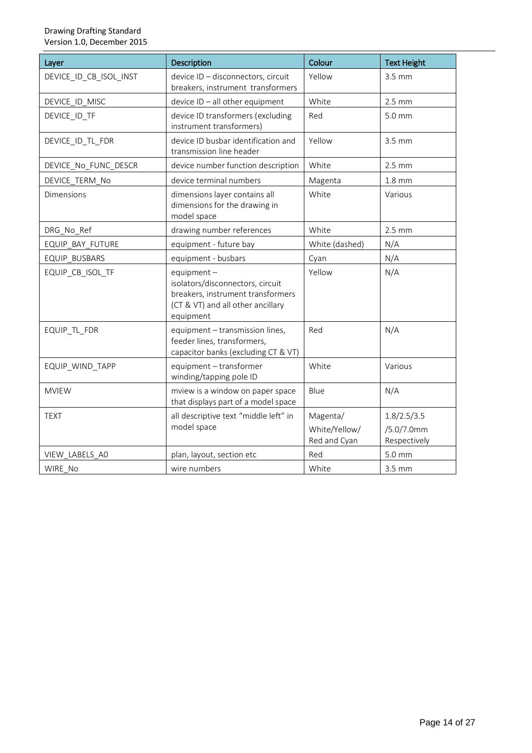| Layer                  | Description                                                                                                                              | Colour                                    | <b>Text Height</b>                        |
|------------------------|------------------------------------------------------------------------------------------------------------------------------------------|-------------------------------------------|-------------------------------------------|
| DEVICE ID CB ISOL INST | device ID - disconnectors, circuit<br>breakers, instrument transformers                                                                  | Yellow                                    | $3.5$ mm                                  |
| DEVICE_ID_MISC         | device ID - all other equipment                                                                                                          | White                                     | $2.5$ mm                                  |
| DEVICE_ID_TF           | device ID transformers (excluding<br>instrument transformers)                                                                            | Red                                       | $5.0 \text{ mm}$                          |
| DEVICE_ID_TL_FDR       | device ID busbar identification and<br>transmission line header                                                                          | Yellow                                    | 3.5 mm                                    |
| DEVICE No FUNC DESCR   | device number function description                                                                                                       | White                                     | $2.5$ mm                                  |
| DEVICE TERM No         | device terminal numbers                                                                                                                  | Magenta                                   | $1.8$ mm                                  |
| <b>Dimensions</b>      | dimensions layer contains all<br>dimensions for the drawing in<br>model space                                                            | White                                     | Various                                   |
| DRG_No_Ref             | drawing number references                                                                                                                | White                                     | $2.5$ mm                                  |
| EQUIP BAY FUTURE       | equipment - future bay                                                                                                                   | White (dashed)                            | N/A                                       |
| EQUIP BUSBARS          | equipment - busbars                                                                                                                      | Cyan                                      | N/A                                       |
| EQUIP_CB_ISOL_TF       | equipment $-$<br>isolators/disconnectors, circuit<br>breakers, instrument transformers<br>(CT & VT) and all other ancillary<br>equipment | Yellow                                    | N/A                                       |
| EQUIP_TL_FDR           | equipment - transmission lines,<br>feeder lines, transformers,<br>capacitor banks (excluding CT & VT)                                    | Red                                       | N/A                                       |
| EQUIP WIND TAPP        | equipment - transformer<br>winding/tapping pole ID                                                                                       | White                                     | Various                                   |
| <b>MVIEW</b>           | mview is a window on paper space<br>that displays part of a model space                                                                  | Blue                                      | N/A                                       |
| <b>TEXT</b>            | all descriptive text "middle left" in<br>model space                                                                                     | Magenta/<br>White/Yellow/<br>Red and Cyan | 1.8/2.5/3.5<br>/5.0/7.0mm<br>Respectively |
| VIEW LABELS AO         | plan, layout, section etc                                                                                                                | Red                                       | 5.0 mm                                    |
| WIRE No                | wire numbers                                                                                                                             | White                                     | 3.5 mm                                    |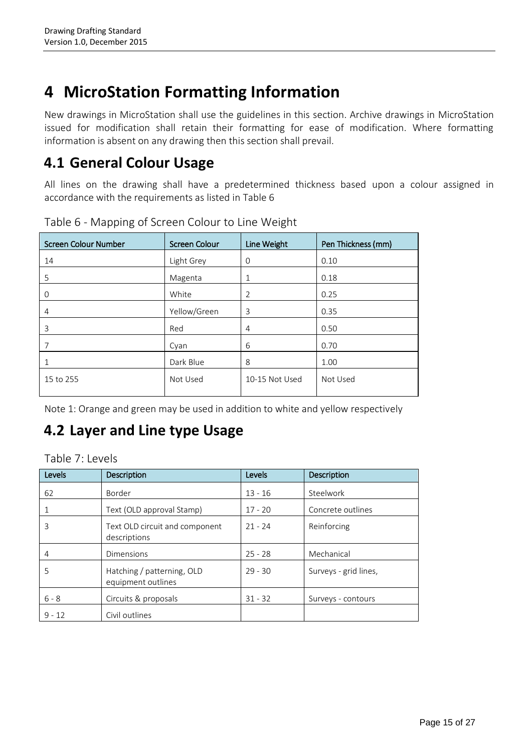## **4 MicroStation Formatting Information**

New drawings in MicroStation shall use the guidelines in this section. Archive drawings in MicroStation issued for modification shall retain their formatting for ease of modification. Where formatting information is absent on any drawing then this section shall prevail.

### **4.1 General Colour Usage**

All lines on the drawing shall have a predetermined thickness based upon a colour assigned in accordance with the requirements as listed in Table 6

| <b>Screen Colour Number</b> | <b>Screen Colour</b> | Line Weight    | Pen Thickness (mm) |
|-----------------------------|----------------------|----------------|--------------------|
| 14                          | Light Grey           | $\Omega$       | 0.10               |
| 5                           | Magenta              | 1              | 0.18               |
| 0                           | White                | 2              | 0.25               |
| 4                           | Yellow/Green         | 3              | 0.35               |
| 3                           | Red                  | 4              | 0.50               |
|                             | Cyan                 | 6              | 0.70               |
|                             | Dark Blue            | 8              | 1.00               |
| 15 to 255                   | Not Used             | 10-15 Not Used | Not Used           |

Table 6 - Mapping of Screen Colour to Line Weight

Note 1: Orange and green may be used in addition to white and yellow respectively

## **4.2 Layer and Line type Usage**

Table 7: Levels

| Levels   | <b>Description</b>                               | Levels    | Description           |
|----------|--------------------------------------------------|-----------|-----------------------|
| 62       | Border                                           | $13 - 16$ | Steelwork             |
|          | Text (OLD approval Stamp)                        | $17 - 20$ | Concrete outlines     |
| 3        | Text OLD circuit and component<br>descriptions   | $21 - 24$ | Reinforcing           |
| 4        | <b>Dimensions</b>                                | $25 - 28$ | Mechanical            |
| 5        | Hatching / patterning, OLD<br>equipment outlines | $29 - 30$ | Surveys - grid lines, |
| $6 - 8$  | Circuits & proposals                             | $31 - 32$ | Surveys - contours    |
| $9 - 12$ | Civil outlines                                   |           |                       |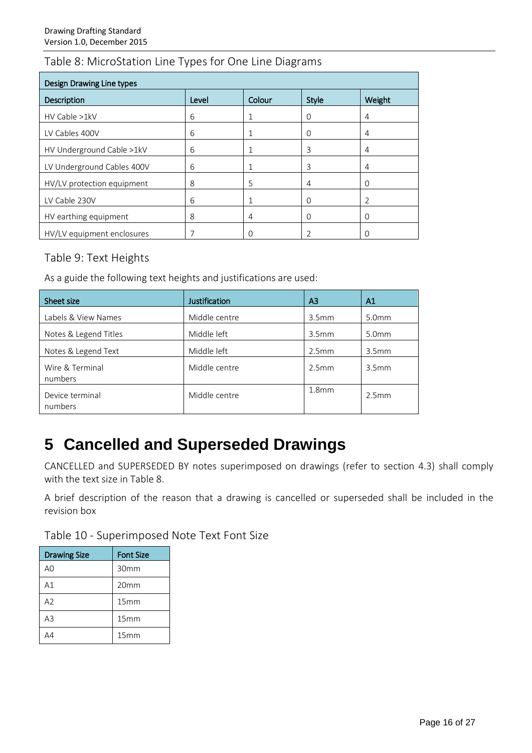### Table 8: MicroStation Line Types for One Line Diagrams

| <b>Design Drawing Line types</b> |       |          |              |          |
|----------------------------------|-------|----------|--------------|----------|
| Description                      | Level | Colour   | <b>Style</b> | Weight   |
| HV Cable >1kV                    | 6     | 1        | 0            | 4        |
| LV Cables 400V                   | 6     | 1        | O            | 4        |
| HV Underground Cable >1kV        | 6     | 1        | 3            | 4        |
| LV Underground Cables 400V       | 6     | 1        | 3            | 4        |
| HV/LV protection equipment       | 8     | 5        | 4            | 0        |
| LV Cable 230V                    | 6     | 1        | Ω            | C        |
| HV earthing equipment            | 8     | 4        | O            | $\Omega$ |
| HV/LV equipment enclosures       | 7     | $\Omega$ |              | O        |

#### Table 9: Text Heights

As a guide the following text heights and justifications are used:

| Sheet size                 | <b>Justification</b> | A3                | A1                |
|----------------------------|----------------------|-------------------|-------------------|
| Labels & View Names        | Middle centre        | 3.5 <sub>mm</sub> | 5.0 <sub>mm</sub> |
| Notes & Legend Titles      | Middle left          | 3.5 <sub>mm</sub> | 5.0 <sub>mm</sub> |
| Notes & Legend Text        | Middle left          | 2.5mm             | 3.5 <sub>mm</sub> |
| Wire & Terminal<br>numbers | Middle centre        | 2.5 <sub>mm</sub> | 3.5 <sub>mm</sub> |
| Device terminal<br>numbers | Middle centre        | 1.8 <sub>mm</sub> | 2.5mm             |

## **5 Cancelled and Superseded Drawings**

CANCELLED and SUPERSEDED BY notes superimposed on drawings (refer to section 4.3) shall comply with the text size in Table 8.

A brief description of the reason that a drawing is cancelled or superseded shall be included in the revision box

| <b>Drawing Size</b> | <b>Font Size</b> |
|---------------------|------------------|
| A <sub>0</sub>      | 30mm             |
| A1                  | 20 <sub>mm</sub> |
| A2                  | 15mm             |
| A3                  | 15mm             |
|                     | 15mm             |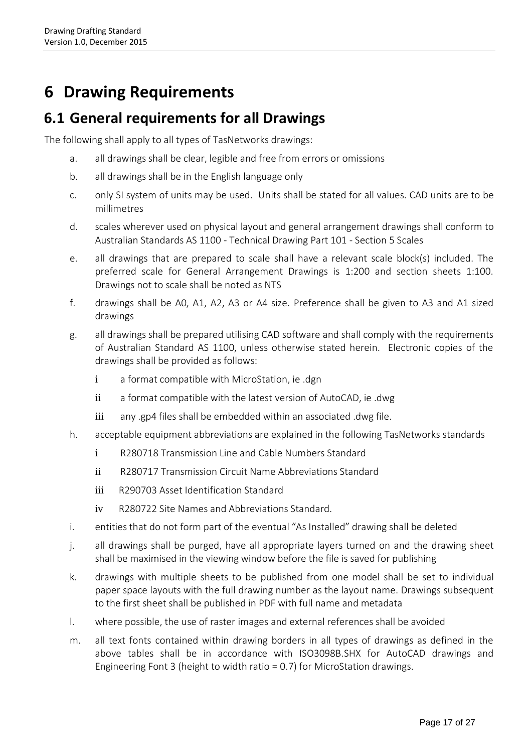## **6 Drawing Requirements**

### **6.1 General requirements for all Drawings**

The following shall apply to all types of TasNetworks drawings:

- a. all drawings shall be clear, legible and free from errors or omissions
- b. all drawings shall be in the English language only
- c. only SI system of units may be used. Units shall be stated for all values. CAD units are to be millimetres
- d. scales wherever used on physical layout and general arrangement drawings shall conform to Australian Standards AS 1100 - Technical Drawing Part 101 - Section 5 Scales
- e. all drawings that are prepared to scale shall have a relevant scale block(s) included. The preferred scale for General Arrangement Drawings is 1:200 and section sheets 1:100. Drawings not to scale shall be noted as NTS
- f. drawings shall be A0, A1, A2, A3 or A4 size. Preference shall be given to A3 and A1 sized drawings
- g. all drawings shall be prepared utilising CAD software and shall comply with the requirements of Australian Standard AS 1100, unless otherwise stated herein. Electronic copies of the drawings shall be provided as follows:
	- i a format compatible with MicroStation, ie .dgn
	- ii a format compatible with the latest version of AutoCAD, ie .dwg
	- iii any .gp4 files shall be embedded within an associated .dwg file.
- h. acceptable equipment abbreviations are explained in the following TasNetworks standards
	- i R280718 Transmission Line and Cable Numbers Standard
	- ii R280717 Transmission Circuit Name Abbreviations Standard
	- iii R290703 Asset Identification Standard
	- iv R280722 Site Names and Abbreviations Standard.
- i. entities that do not form part of the eventual "As Installed" drawing shall be deleted
- j. all drawings shall be purged, have all appropriate layers turned on and the drawing sheet shall be maximised in the viewing window before the file is saved for publishing
- k. drawings with multiple sheets to be published from one model shall be set to individual paper space layouts with the full drawing number as the layout name. Drawings subsequent to the first sheet shall be published in PDF with full name and metadata
- l. where possible, the use of raster images and external references shall be avoided
- m. all text fonts contained within drawing borders in all types of drawings as defined in the above tables shall be in accordance with ISO3098B.SHX for AutoCAD drawings and Engineering Font 3 (height to width ratio = 0.7) for MicroStation drawings.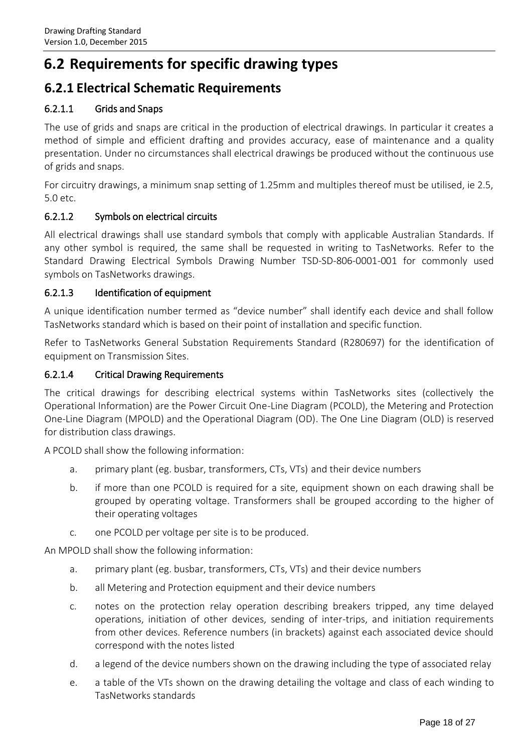### **6.2 Requirements for specific drawing types**

### **6.2.1 Electrical Schematic Requirements**

#### 6.2.1.1 Grids and Snaps

The use of grids and snaps are critical in the production of electrical drawings. In particular it creates a method of simple and efficient drafting and provides accuracy, ease of maintenance and a quality presentation. Under no circumstances shall electrical drawings be produced without the continuous use of grids and snaps.

For circuitry drawings, a minimum snap setting of 1.25mm and multiples thereof must be utilised, ie 2.5, 5.0 etc.

#### 6.2.1.2 Symbols on electrical circuits

All electrical drawings shall use standard symbols that comply with applicable Australian Standards. If any other symbol is required, the same shall be requested in writing to TasNetworks. Refer to the Standard Drawing Electrical Symbols Drawing Number TSD-SD-806-0001-001 for commonly used symbols on TasNetworks drawings.

#### 6.2.1.3 Identification of equipment

A unique identification number termed as "device number" shall identify each device and shall follow TasNetworks standard which is based on their point of installation and specific function.

Refer to TasNetworks General Substation Requirements Standard (R280697) for the identification of equipment on Transmission Sites.

#### 6.2.1.4 Critical Drawing Requirements

The critical drawings for describing electrical systems within TasNetworks sites (collectively the Operational Information) are the Power Circuit One-Line Diagram (PCOLD), the Metering and Protection One-Line Diagram (MPOLD) and the Operational Diagram (OD). The One Line Diagram (OLD) is reserved for distribution class drawings.

A PCOLD shall show the following information:

- a. primary plant (eg. busbar, transformers, CTs, VTs) and their device numbers
- b. if more than one PCOLD is required for a site, equipment shown on each drawing shall be grouped by operating voltage. Transformers shall be grouped according to the higher of their operating voltages
- c. one PCOLD per voltage per site is to be produced.

An MPOLD shall show the following information:

- a. primary plant (eg. busbar, transformers, CTs, VTs) and their device numbers
- b. all Metering and Protection equipment and their device numbers
- c. notes on the protection relay operation describing breakers tripped, any time delayed operations, initiation of other devices, sending of inter-trips, and initiation requirements from other devices. Reference numbers (in brackets) against each associated device should correspond with the notes listed
- d. a legend of the device numbers shown on the drawing including the type of associated relay
- e. a table of the VTs shown on the drawing detailing the voltage and class of each winding to TasNetworks standards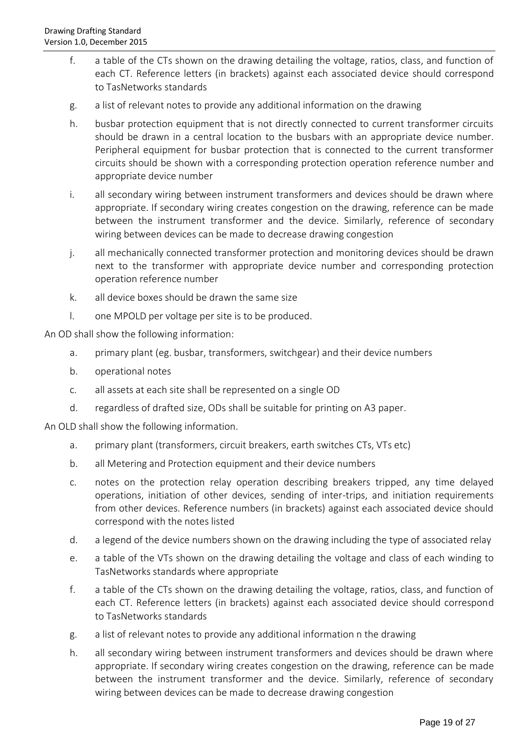- f. a table of the CTs shown on the drawing detailing the voltage, ratios, class, and function of each CT. Reference letters (in brackets) against each associated device should correspond to TasNetworks standards
- g. a list of relevant notes to provide any additional information on the drawing
- h. busbar protection equipment that is not directly connected to current transformer circuits should be drawn in a central location to the busbars with an appropriate device number. Peripheral equipment for busbar protection that is connected to the current transformer circuits should be shown with a corresponding protection operation reference number and appropriate device number
- i. all secondary wiring between instrument transformers and devices should be drawn where appropriate. If secondary wiring creates congestion on the drawing, reference can be made between the instrument transformer and the device. Similarly, reference of secondary wiring between devices can be made to decrease drawing congestion
- j. all mechanically connected transformer protection and monitoring devices should be drawn next to the transformer with appropriate device number and corresponding protection operation reference number
- k. all device boxes should be drawn the same size
- l. one MPOLD per voltage per site is to be produced.

An OD shall show the following information:

- a. primary plant (eg. busbar, transformers, switchgear) and their device numbers
- b. operational notes
- c. all assets at each site shall be represented on a single OD
- d. regardless of drafted size, ODs shall be suitable for printing on A3 paper.

An OLD shall show the following information.

- a. primary plant (transformers, circuit breakers, earth switches CTs, VTs etc)
- b. all Metering and Protection equipment and their device numbers
- c. notes on the protection relay operation describing breakers tripped, any time delayed operations, initiation of other devices, sending of inter-trips, and initiation requirements from other devices. Reference numbers (in brackets) against each associated device should correspond with the notes listed
- d. a legend of the device numbers shown on the drawing including the type of associated relay
- e. a table of the VTs shown on the drawing detailing the voltage and class of each winding to TasNetworks standards where appropriate
- f. a table of the CTs shown on the drawing detailing the voltage, ratios, class, and function of each CT. Reference letters (in brackets) against each associated device should correspond to TasNetworks standards
- g. a list of relevant notes to provide any additional information n the drawing
- h. all secondary wiring between instrument transformers and devices should be drawn where appropriate. If secondary wiring creates congestion on the drawing, reference can be made between the instrument transformer and the device. Similarly, reference of secondary wiring between devices can be made to decrease drawing congestion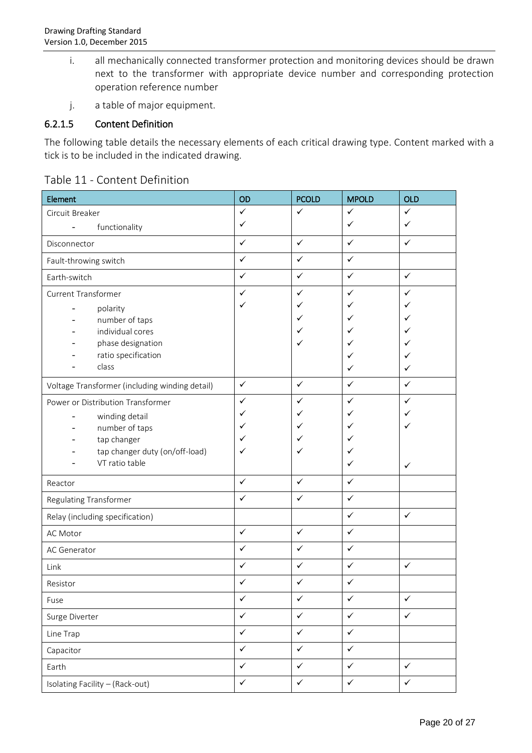- i. all mechanically connected transformer protection and monitoring devices should be drawn next to the transformer with appropriate device number and corresponding protection operation reference number
- j. a table of major equipment.

#### 6.2.1.5 Content Definition

The following table details the necessary elements of each critical drawing type. Content marked with a tick is to be included in the indicated drawing.

|  | Table 11 - Content Definition |
|--|-------------------------------|
|--|-------------------------------|

| Element                                        | OD           | <b>PCOLD</b> | <b>MPOLD</b> | <b>OLD</b>   |
|------------------------------------------------|--------------|--------------|--------------|--------------|
| Circuit Breaker                                | $\checkmark$ | $\checkmark$ | $\checkmark$ | $\checkmark$ |
| functionality                                  | ✓            |              | ✓            | ✓            |
| Disconnector                                   | $\checkmark$ | $\checkmark$ | $\checkmark$ | $\checkmark$ |
| Fault-throwing switch                          | $\checkmark$ | $\checkmark$ | $\checkmark$ |              |
| Earth-switch                                   | $\checkmark$ | $\checkmark$ | $\checkmark$ | $\checkmark$ |
| <b>Current Transformer</b>                     | $\checkmark$ | ✓            | ✓            | $\checkmark$ |
| polarity                                       | ✓            | ✓            | ✓            | ✓            |
| number of taps                                 |              | ✓            | ✓            | ✓            |
| individual cores                               |              | ✓            |              | $\checkmark$ |
| phase designation                              |              | ✓            |              | $\checkmark$ |
| ratio specification                            |              |              | ✓            | ✓            |
| class                                          |              |              | ✓            | ✓            |
| Voltage Transformer (including winding detail) | $\checkmark$ | $\checkmark$ | $\checkmark$ | $\checkmark$ |
| Power or Distribution Transformer              | $\checkmark$ | ✓            | ✓            | $\checkmark$ |
| winding detail                                 | $\checkmark$ | ✓            | ✓            | ✓            |
| number of taps                                 | ✓            | ✓            | ✓            | $\checkmark$ |
| tap changer                                    | ✓            | ✓            | ✓            |              |
| tap changer duty (on/off-load)                 | ✓            | ✓            |              |              |
| VT ratio table                                 |              |              | ✓            | $\checkmark$ |
| Reactor                                        | $\checkmark$ | $\checkmark$ | $\checkmark$ |              |
| <b>Regulating Transformer</b>                  | $\checkmark$ | $\checkmark$ | $\checkmark$ |              |
| Relay (including specification)                |              |              | $\checkmark$ | $\checkmark$ |
| AC Motor                                       | $\checkmark$ | $\checkmark$ | $\checkmark$ |              |
| AC Generator                                   | $\checkmark$ | $\checkmark$ | $\checkmark$ |              |
| Link                                           | $\checkmark$ | $\checkmark$ | $\checkmark$ | $\checkmark$ |
| Resistor                                       | $\checkmark$ | ✓            | $\checkmark$ |              |
| Fuse                                           | $\checkmark$ | $\checkmark$ | $\checkmark$ | $\checkmark$ |
| Surge Diverter                                 | $\checkmark$ | $\checkmark$ | $\checkmark$ | $\checkmark$ |
| Line Trap                                      | $\checkmark$ | $\checkmark$ | $\checkmark$ |              |
| Capacitor                                      | $\checkmark$ | $\checkmark$ | $\checkmark$ |              |
| Earth                                          | $\checkmark$ | $\checkmark$ | $\checkmark$ | $\checkmark$ |
| Isolating Facility - (Rack-out)                | $\checkmark$ | $\checkmark$ | $\checkmark$ | $\checkmark$ |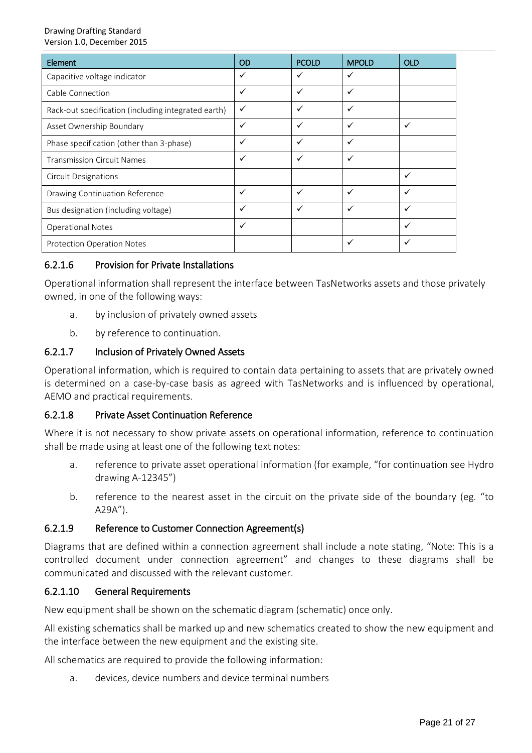#### Drawing Drafting Standard Version 1.0, December 2015

| <b>Element</b>                                      | <b>OD</b>    | <b>PCOLD</b> | <b>MPOLD</b> | <b>OLD</b> |
|-----------------------------------------------------|--------------|--------------|--------------|------------|
| Capacitive voltage indicator                        | ✓            | ✓            | ✓            |            |
| Cable Connection                                    | ✓            | $\checkmark$ | ✓            |            |
| Rack-out specification (including integrated earth) | $\checkmark$ | ✓            | ✓            |            |
| Asset Ownership Boundary                            | $\checkmark$ | ✓            | ✓            | ✓          |
| Phase specification (other than 3-phase)            | ✓            | ✓            | ✓            |            |
| <b>Transmission Circuit Names</b>                   | $\checkmark$ | ✓            | ✓            |            |
| <b>Circuit Designations</b>                         |              |              |              |            |
| Drawing Continuation Reference                      | ✓            | ✓            | ✓            |            |
| Bus designation (including voltage)                 | ✓            | ✓            | ✓            |            |
| <b>Operational Notes</b>                            | ✓            |              |              |            |
| <b>Protection Operation Notes</b>                   |              |              |              |            |

#### 6.2.1.6 Provision for Private Installations

Operational information shall represent the interface between TasNetworks assets and those privately owned, in one of the following ways:

- a. by inclusion of privately owned assets
- b. by reference to continuation.

#### 6.2.1.7 Inclusion of Privately Owned Assets

Operational information, which is required to contain data pertaining to assets that are privately owned is determined on a case-by-case basis as agreed with TasNetworks and is influenced by operational, AEMO and practical requirements.

#### 6.2.1.8 Private Asset Continuation Reference

Where it is not necessary to show private assets on operational information, reference to continuation shall be made using at least one of the following text notes:

- a. reference to private asset operational information (for example, "for continuation see Hydro drawing A-12345")
- b. reference to the nearest asset in the circuit on the private side of the boundary (eg. "to A29A").

#### 6.2.1.9 Reference to Customer Connection Agreement(s)

Diagrams that are defined within a connection agreement shall include a note stating, "Note: This is a controlled document under connection agreement" and changes to these diagrams shall be communicated and discussed with the relevant customer.

#### 6.2.1.10 General Requirements

New equipment shall be shown on the schematic diagram (schematic) once only.

All existing schematics shall be marked up and new schematics created to show the new equipment and the interface between the new equipment and the existing site.

All schematics are required to provide the following information:

a. devices, device numbers and device terminal numbers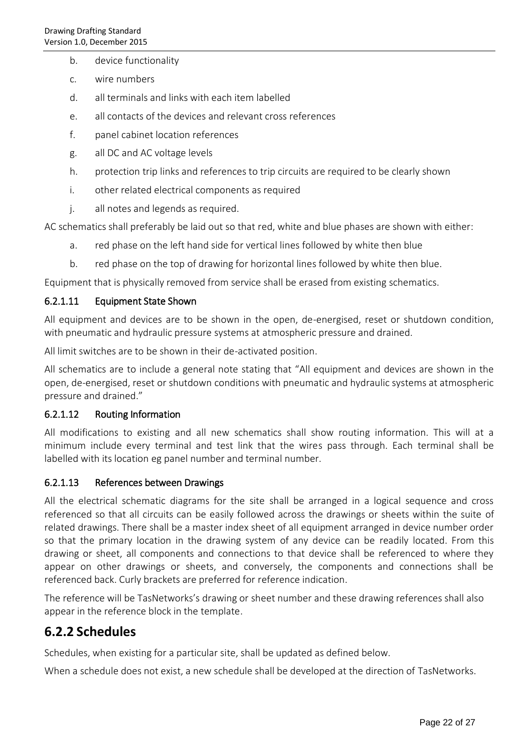- b. device functionality
- c. wire numbers
- d. all terminals and links with each item labelled
- e. all contacts of the devices and relevant cross references
- f. panel cabinet location references
- g. all DC and AC voltage levels
- h. protection trip links and references to trip circuits are required to be clearly shown
- i. other related electrical components as required
- j. all notes and legends as required.

AC schematics shall preferably be laid out so that red, white and blue phases are shown with either:

- a. red phase on the left hand side for vertical lines followed by white then blue
- b. red phase on the top of drawing for horizontal lines followed by white then blue.

Equipment that is physically removed from service shall be erased from existing schematics.

#### 6.2.1.11 Equipment State Shown

All equipment and devices are to be shown in the open, de-energised, reset or shutdown condition, with pneumatic and hydraulic pressure systems at atmospheric pressure and drained.

All limit switches are to be shown in their de-activated position.

All schematics are to include a general note stating that "All equipment and devices are shown in the open, de-energised, reset or shutdown conditions with pneumatic and hydraulic systems at atmospheric pressure and drained."

#### 6.2.1.12 Routing Information

All modifications to existing and all new schematics shall show routing information. This will at a minimum include every terminal and test link that the wires pass through. Each terminal shall be labelled with its location eg panel number and terminal number.

#### 6.2.1.13 References between Drawings

All the electrical schematic diagrams for the site shall be arranged in a logical sequence and cross referenced so that all circuits can be easily followed across the drawings or sheets within the suite of related drawings. There shall be a master index sheet of all equipment arranged in device number order so that the primary location in the drawing system of any device can be readily located. From this drawing or sheet, all components and connections to that device shall be referenced to where they appear on other drawings or sheets, and conversely, the components and connections shall be referenced back. Curly brackets are preferred for reference indication.

The reference will be TasNetworks's drawing or sheet number and these drawing references shall also appear in the reference block in the template.

### **6.2.2 Schedules**

Schedules, when existing for a particular site, shall be updated as defined below.

When a schedule does not exist, a new schedule shall be developed at the direction of TasNetworks.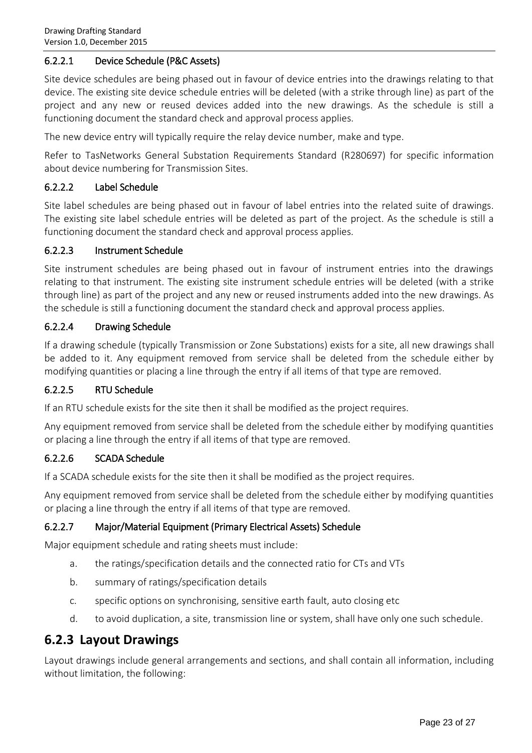#### 6.2.2.1 Device Schedule (P&C Assets)

Site device schedules are being phased out in favour of device entries into the drawings relating to that device. The existing site device schedule entries will be deleted (with a strike through line) as part of the project and any new or reused devices added into the new drawings. As the schedule is still a functioning document the standard check and approval process applies.

The new device entry will typically require the relay device number, make and type.

Refer to TasNetworks General Substation Requirements Standard (R280697) for specific information about device numbering for Transmission Sites.

#### 6.2.2.2 Label Schedule

Site label schedules are being phased out in favour of label entries into the related suite of drawings. The existing site label schedule entries will be deleted as part of the project. As the schedule is still a functioning document the standard check and approval process applies.

#### 6.2.2.3 Instrument Schedule

Site instrument schedules are being phased out in favour of instrument entries into the drawings relating to that instrument. The existing site instrument schedule entries will be deleted (with a strike through line) as part of the project and any new or reused instruments added into the new drawings. As the schedule is still a functioning document the standard check and approval process applies.

#### 6.2.2.4 Drawing Schedule

If a drawing schedule (typically Transmission or Zone Substations) exists for a site, all new drawings shall be added to it. Any equipment removed from service shall be deleted from the schedule either by modifying quantities or placing a line through the entry if all items of that type are removed.

#### 6.2.2.5 RTU Schedule

If an RTU schedule exists for the site then it shall be modified as the project requires.

Any equipment removed from service shall be deleted from the schedule either by modifying quantities or placing a line through the entry if all items of that type are removed.

#### 6.2.2.6 SCADA Schedule

If a SCADA schedule exists for the site then it shall be modified as the project requires.

Any equipment removed from service shall be deleted from the schedule either by modifying quantities or placing a line through the entry if all items of that type are removed.

#### 6.2.2.7 Major/Material Equipment (Primary Electrical Assets) Schedule

Major equipment schedule and rating sheets must include:

- a. the ratings/specification details and the connected ratio for CTs and VTs
- b. summary of ratings/specification details
- c. specific options on synchronising, sensitive earth fault, auto closing etc
- d. to avoid duplication, a site, transmission line or system, shall have only one such schedule.

### **6.2.3 Layout Drawings**

Layout drawings include general arrangements and sections, and shall contain all information, including without limitation, the following: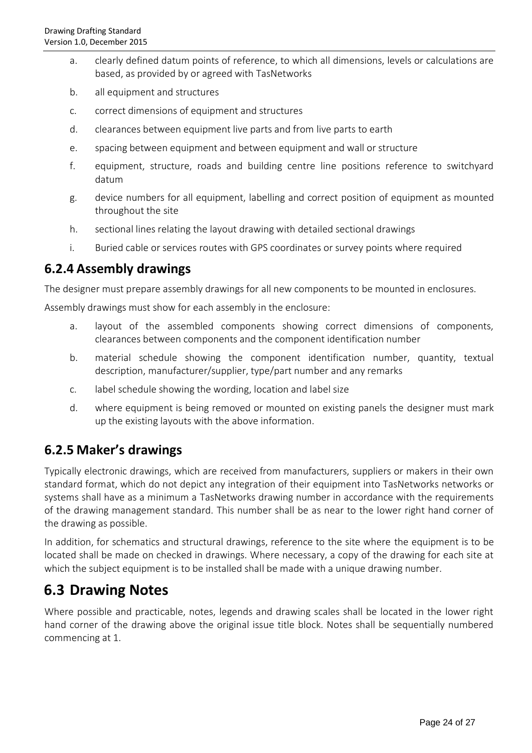- a. clearly defined datum points of reference, to which all dimensions, levels or calculations are based, as provided by or agreed with TasNetworks
- b. all equipment and structures
- c. correct dimensions of equipment and structures
- d. clearances between equipment live parts and from live parts to earth
- e. spacing between equipment and between equipment and wall or structure
- f. equipment, structure, roads and building centre line positions reference to switchyard datum
- g. device numbers for all equipment, labelling and correct position of equipment as mounted throughout the site
- h. sectional lines relating the layout drawing with detailed sectional drawings
- i. Buried cable or services routes with GPS coordinates or survey points where required

### **6.2.4 Assembly drawings**

The designer must prepare assembly drawings for all new components to be mounted in enclosures.

Assembly drawings must show for each assembly in the enclosure:

- a. layout of the assembled components showing correct dimensions of components, clearances between components and the component identification number
- b. material schedule showing the component identification number, quantity, textual description, manufacturer/supplier, type/part number and any remarks
- c. label schedule showing the wording, location and label size
- d. where equipment is being removed or mounted on existing panels the designer must mark up the existing layouts with the above information.

### **6.2.5 Maker's drawings**

Typically electronic drawings, which are received from manufacturers, suppliers or makers in their own standard format, which do not depict any integration of their equipment into TasNetworks networks or systems shall have as a minimum a TasNetworks drawing number in accordance with the requirements of the drawing management standard. This number shall be as near to the lower right hand corner of the drawing as possible.

In addition, for schematics and structural drawings, reference to the site where the equipment is to be located shall be made on checked in drawings. Where necessary, a copy of the drawing for each site at which the subject equipment is to be installed shall be made with a unique drawing number.

### **6.3 Drawing Notes**

Where possible and practicable, notes, legends and drawing scales shall be located in the lower right hand corner of the drawing above the original issue title block. Notes shall be sequentially numbered commencing at 1.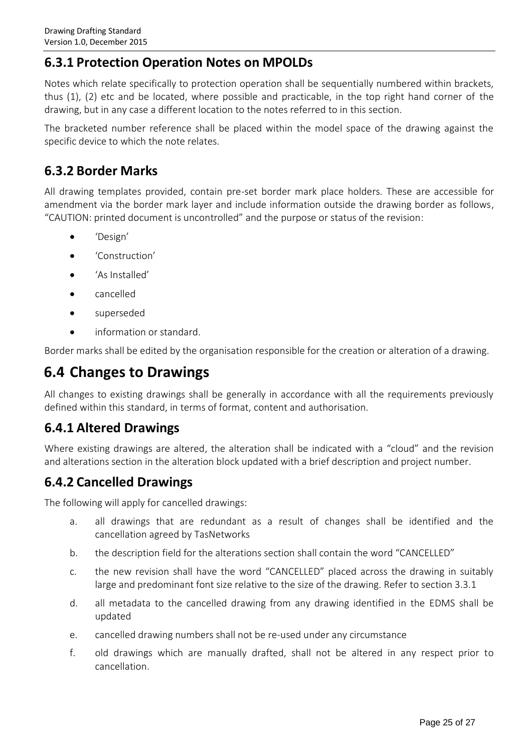### **6.3.1 Protection Operation Notes on MPOLDs**

Notes which relate specifically to protection operation shall be sequentially numbered within brackets, thus (1), (2) etc and be located, where possible and practicable, in the top right hand corner of the drawing, but in any case a different location to the notes referred to in this section.

The bracketed number reference shall be placed within the model space of the drawing against the specific device to which the note relates.

### **6.3.2 Border Marks**

All drawing templates provided, contain pre-set border mark place holders. These are accessible for amendment via the border mark layer and include information outside the drawing border as follows, "CAUTION: printed document is uncontrolled" and the purpose or status of the revision:

- 'Design'
- 'Construction'
- 'As Installed'
- cancelled
- superseded
- information or standard.

Border marks shall be edited by the organisation responsible for the creation or alteration of a drawing.

### **6.4 Changes to Drawings**

All changes to existing drawings shall be generally in accordance with all the requirements previously defined within this standard, in terms of format, content and authorisation.

### **6.4.1 Altered Drawings**

Where existing drawings are altered, the alteration shall be indicated with a "cloud" and the revision and alterations section in the alteration block updated with a brief description and project number.

### **6.4.2 Cancelled Drawings**

The following will apply for cancelled drawings:

- a. all drawings that are redundant as a result of changes shall be identified and the cancellation agreed by TasNetworks
- b. the description field for the alterations section shall contain the word "CANCELLED"
- c. the new revision shall have the word "CANCELLED" placed across the drawing in suitably large and predominant font size relative to the size of the drawing. Refer to section 3.3.1
- d. all metadata to the cancelled drawing from any drawing identified in the EDMS shall be updated
- e. cancelled drawing numbers shall not be re-used under any circumstance
- f. old drawings which are manually drafted, shall not be altered in any respect prior to cancellation.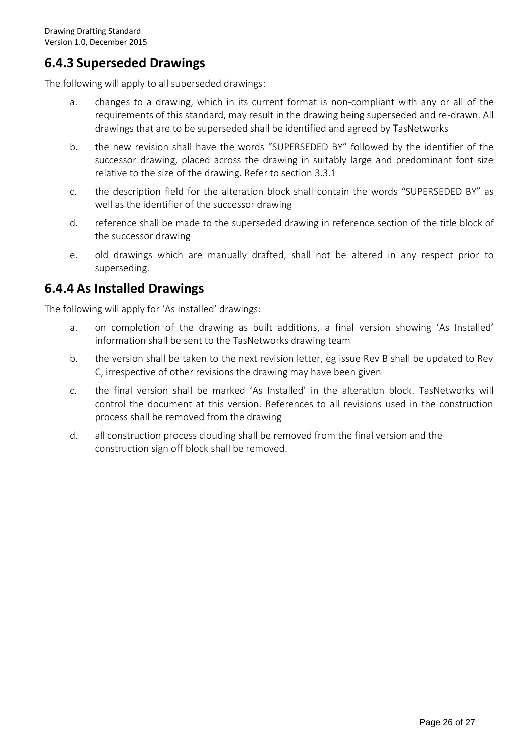### **6.4.3 Superseded Drawings**

The following will apply to all superseded drawings:

- a. changes to a drawing, which in its current format is non-compliant with any or all of the requirements of this standard, may result in the drawing being superseded and re-drawn. All drawings that are to be superseded shall be identified and agreed by TasNetworks
- b. the new revision shall have the words "SUPERSEDED BY" followed by the identifier of the successor drawing, placed across the drawing in suitably large and predominant font size relative to the size of the drawing. Refer to section 3.3.1
- c. the description field for the alteration block shall contain the words "SUPERSEDED BY" as well as the identifier of the successor drawing
- d. reference shall be made to the superseded drawing in reference section of the title block of the successor drawing
- e. old drawings which are manually drafted, shall not be altered in any respect prior to superseding.

### <span id="page-25-0"></span>**6.4.4 As Installed Drawings**

The following will apply for 'As Installed' drawings:

- a. on completion of the drawing as built additions, a final version showing 'As Installed' information shall be sent to the TasNetworks drawing team
- b. the version shall be taken to the next revision letter, eg issue Rev B shall be updated to Rev C, irrespective of other revisions the drawing may have been given
- c. the final version shall be marked 'As Installed' in the alteration block. TasNetworks will control the document at this version. References to all revisions used in the construction process shall be removed from the drawing
- d. all construction process clouding shall be removed from the final version and the construction sign off block shall be removed.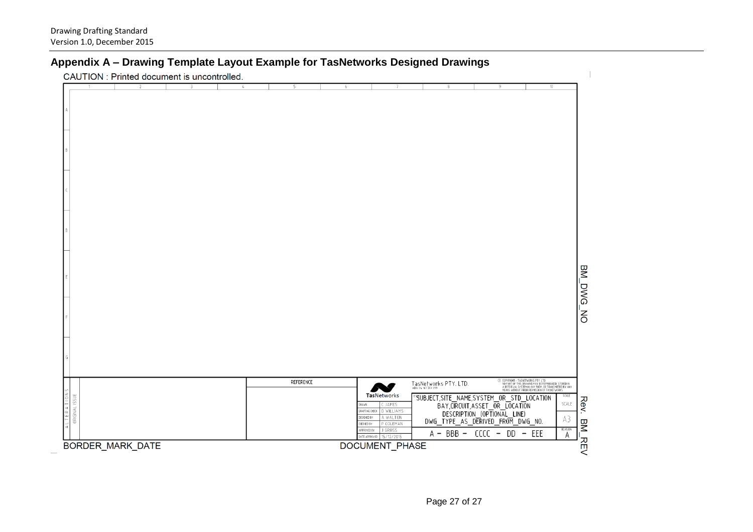### **Appendix A – Drawing Template Layout Example for TasNetworks Designed Drawings**

CAUTION: Printed document is uncontrolled.

| ----------<br>. .                                                       |                    |                                                                                                                                                                                                                        |                                                                                                                                                                                                                                                                                                                                                                                            |                                                         |
|-------------------------------------------------------------------------|--------------------|------------------------------------------------------------------------------------------------------------------------------------------------------------------------------------------------------------------------|--------------------------------------------------------------------------------------------------------------------------------------------------------------------------------------------------------------------------------------------------------------------------------------------------------------------------------------------------------------------------------------------|---------------------------------------------------------|
| $\overline{2}$<br>3<br>$\mathfrak{t}_\ast$<br>ID.                       | 6                  |                                                                                                                                                                                                                        | $10 -$                                                                                                                                                                                                                                                                                                                                                                                     |                                                         |
| $\sqrt{a}$                                                              |                    |                                                                                                                                                                                                                        |                                                                                                                                                                                                                                                                                                                                                                                            | BM_DWG_NG                                               |
| <b>TERATIONS</b><br>ORIGINAL ISSUE<br>$\frac{1}{4}$<br>BORDER_MARK_DATE | REFERENCE<br>DRAWN | TasNetworks PTY. LTD.<br><b>TasNetworks</b><br>C JAMES<br>DRAFTING CHECK   D WILLIAMS<br>DESIGNED BY<br>A WALTON<br>CHECKED BY<br>P COLEMAN<br>J GROSS<br>APPROVED BY<br>DATE APPROVED<br>15/12/2015<br>DOCUMENT_PHASE | © (OPYRIGHT – TASNETWORKS PTY, LTD.<br>NO PART OF THIS IRRAWING MAY BE REPRODUCED, STORED IN<br>A RETREVAL SYSTEM IN ANY FORM, OR TRANSMITTED BY ANY<br>MEANS WITHOUT PRIOR PERMISSION OF TASNETWORKS.<br>"SUBJECT, SITE_NAME, SYSTEM_OR_STD_LOCATION<br>BAY, CIRCUIT, ASSET_OR_LOCATION<br>DESCRIPTION_(OPTIONAL_LINE)<br>DWG_TYPE_AS_DERIVED_FROM_DWG_NO.<br>$A - BBB - CCCC - DD - EEE$ | SCALE<br>Rev.<br>SCALE<br>A3<br>BM_REV<br>REVISION<br>А |

 $\mathbb{I}$